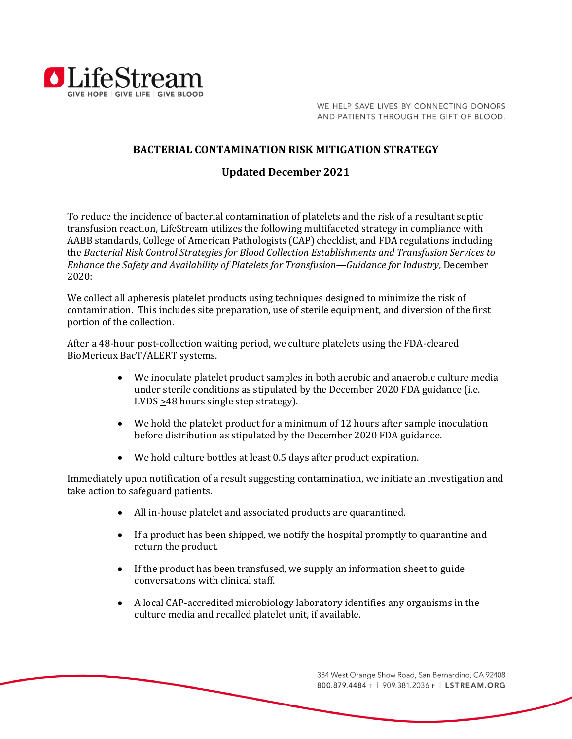

WE HELP SAVE LIVES BY CONNECTING DONORS AND PATIENTS THROUGH THE GIFT OF BLOOD.

## **BACTERIAL CONTAMINATION RISK MITIGATION STRATEGY**

## **Updated December 2021**

To reduce the incidence of bacterial contamination of platelets and the risk of a resultant septic transfusion reaction, LifeStream utilizes the following multifaceted strategy in compliance with AABB standards, College of American Pathologists (CAP) checklist, and FDA regulations including the *Bacterial Risk Control Strategies for Blood Collection Establishments and Transfusion Services to Enhance the Safety and Availability of Platelets for Transfusion—Guidance for Industry*, December 2020:

We collect all apheresis platelet products using techniques designed to minimize the risk of contamination. This includes site preparation, use of sterile equipment, and diversion of the first portion of the collection.

After a 48-hour post-collection waiting period, we culture platelets using the FDA-cleared BioMerieux BacT/ALERT systems.

- We inoculate platelet product samples in both aerobic and anaerobic culture media under sterile conditions as stipulated by the December 2020 FDA guidance (i.e. LVDS  $\geq$ 48 hours single step strategy).
- We hold the platelet product for a minimum of 12 hours after sample inoculation before distribution as stipulated by the December 2020 FDA guidance.
- We hold culture bottles at least 0.5 days after product expiration.

Immediately upon notification of a result suggesting contamination, we initiate an investigation and take action to safeguard patients.

- All in-house platelet and associated products are quarantined.
- If a product has been shipped, we notify the hospital promptly to quarantine and return the product.
- If the product has been transfused, we supply an information sheet to guide conversations with clinical staff.
- A local CAP-accredited microbiology laboratory identifies any organisms in the culture media and recalled platelet unit, if available.

384 West Orange Show Road, San Bernardino, CA 92408 800.879.4484 T | 909.381.2036 F | LSTREAM.ORG